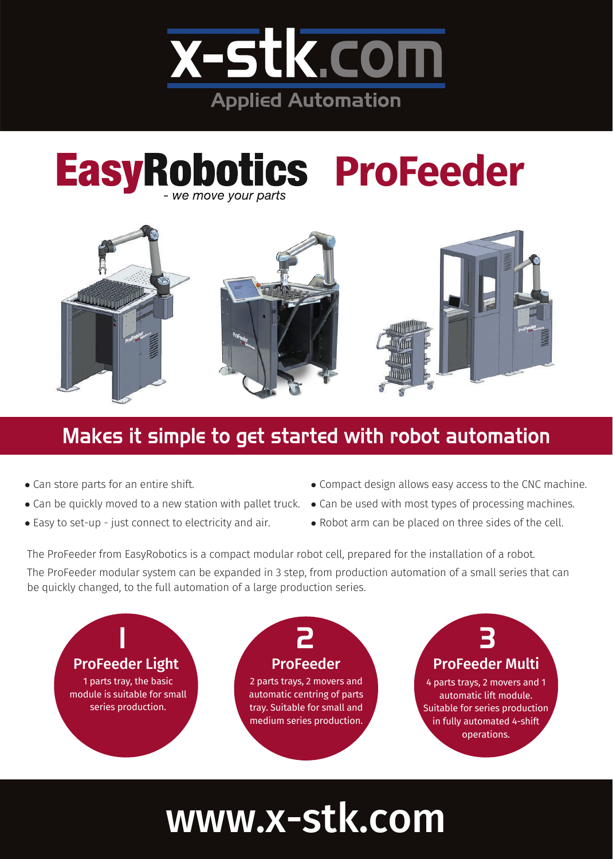

## **EasyRobotics ProFeeder** - we move your parts



### Makes it simple to get started with robot automation

- Can store parts for an entire shift.
- $\bullet$  Can be quickly moved to a new station with pallet truck.  $\;\bullet$  Can be used with most types of processing machines.
- Easy to set-up just connect to electricity and air.
- Compact design allows easy access to the CNC machine.
- 
- Robot arm can be placed on three sides of the cell.

The ProFeeder from EasyRobotics is a compact modular robot cell, prepared for the installation of a robot. The ProFeeder modular system can be expanded in 3 step, from production automation of a small series that can be quickly changed, to the full automation of a large production series.



# www.x-stk.com